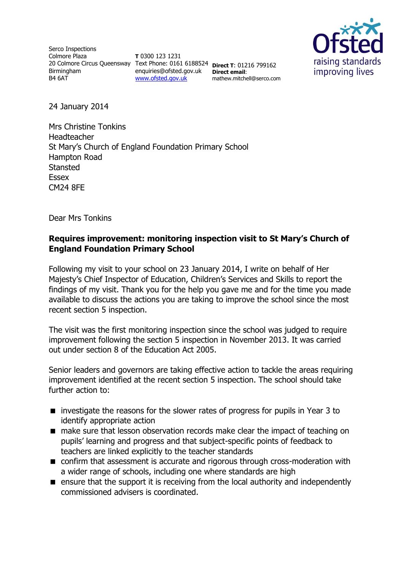Serco Inspections Colmore Plaza 20 Colmore Circus Queensway Text Phone: 0161 6188524 **Direct T**: 01216 799162 Birmingham B4 6AT

**T** 0300 123 1231 enquiries@ofsted.gov.uk **Direct email**: [www.ofsted.gov.uk](http://www.ofsted.gov.uk/)

mathew.mitchell@serco.com



24 January 2014

Mrs Christine Tonkins Headteacher St Mary's Church of England Foundation Primary School Hampton Road **Stansted Essex** CM24 8FE

Dear Mrs Tonkins

## **Requires improvement: monitoring inspection visit to St Mary's Church of England Foundation Primary School**

Following my visit to your school on 23 January 2014, I write on behalf of Her Majesty's Chief Inspector of Education, Children's Services and Skills to report the findings of my visit. Thank you for the help you gave me and for the time you made available to discuss the actions you are taking to improve the school since the most recent section 5 inspection.

The visit was the first monitoring inspection since the school was judged to require improvement following the section 5 inspection in November 2013. It was carried out under section 8 of the Education Act 2005.

Senior leaders and governors are taking effective action to tackle the areas requiring improvement identified at the recent section 5 inspection. The school should take further action to:

- $\blacksquare$  investigate the reasons for the slower rates of progress for pupils in Year 3 to identify appropriate action
- make sure that lesson observation records make clear the impact of teaching on pupils' learning and progress and that subject-specific points of feedback to teachers are linked explicitly to the teacher standards
- confirm that assessment is accurate and rigorous through cross-moderation with a wider range of schools, including one where standards are high
- **E** ensure that the support it is receiving from the local authority and independently commissioned advisers is coordinated.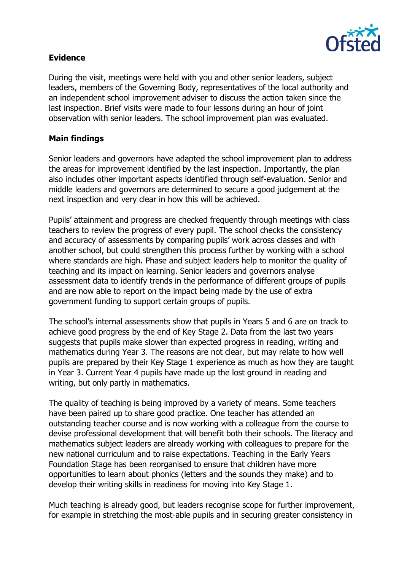

## **Evidence**

During the visit, meetings were held with you and other senior leaders, subject leaders, members of the Governing Body, representatives of the local authority and an independent school improvement adviser to discuss the action taken since the last inspection. Brief visits were made to four lessons during an hour of joint observation with senior leaders. The school improvement plan was evaluated.

## **Main findings**

Senior leaders and governors have adapted the school improvement plan to address the areas for improvement identified by the last inspection. Importantly, the plan also includes other important aspects identified through self-evaluation. Senior and middle leaders and governors are determined to secure a good judgement at the next inspection and very clear in how this will be achieved.

Pupils' attainment and progress are checked frequently through meetings with class teachers to review the progress of every pupil. The school checks the consistency and accuracy of assessments by comparing pupils' work across classes and with another school, but could strengthen this process further by working with a school where standards are high. Phase and subject leaders help to monitor the quality of teaching and its impact on learning. Senior leaders and governors analyse assessment data to identify trends in the performance of different groups of pupils and are now able to report on the impact being made by the use of extra government funding to support certain groups of pupils.

The school's internal assessments show that pupils in Years 5 and 6 are on track to achieve good progress by the end of Key Stage 2. Data from the last two years suggests that pupils make slower than expected progress in reading, writing and mathematics during Year 3. The reasons are not clear, but may relate to how well pupils are prepared by their Key Stage 1 experience as much as how they are taught in Year 3. Current Year 4 pupils have made up the lost ground in reading and writing, but only partly in mathematics.

The quality of teaching is being improved by a variety of means. Some teachers have been paired up to share good practice. One teacher has attended an outstanding teacher course and is now working with a colleague from the course to devise professional development that will benefit both their schools. The literacy and mathematics subject leaders are already working with colleagues to prepare for the new national curriculum and to raise expectations. Teaching in the Early Years Foundation Stage has been reorganised to ensure that children have more opportunities to learn about phonics (letters and the sounds they make) and to develop their writing skills in readiness for moving into Key Stage 1.

Much teaching is already good, but leaders recognise scope for further improvement, for example in stretching the most-able pupils and in securing greater consistency in